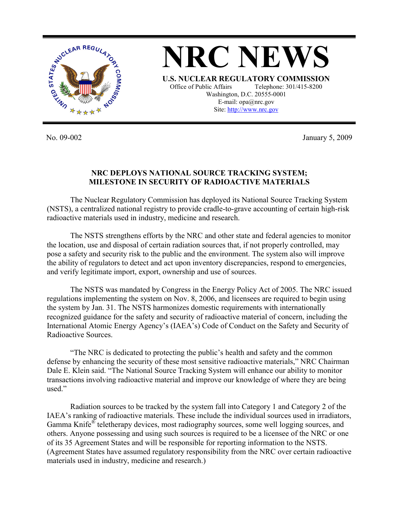

**NRC NEWS U.S. NUCLEAR REGULATORY COMMISSION** Office of Public Affairs Telephone: 301/415-8200 Washington, D.C. 20555-0001 E-mail: opa@nrc.gov Site: http://www.nrc.gov

No. 09-002 January 5, 2009

## **NRC DEPLOYS NATIONAL SOURCE TRACKING SYSTEM; MILESTONE IN SECURITY OF RADIOACTIVE MATERIALS**

The Nuclear Regulatory Commission has deployed its National Source Tracking System (NSTS), a centralized national registry to provide cradle-to-grave accounting of certain high-risk radioactive materials used in industry, medicine and research.

 The NSTS strengthens efforts by the NRC and other state and federal agencies to monitor the location, use and disposal of certain radiation sources that, if not properly controlled, may pose a safety and security risk to the public and the environment. The system also will improve the ability of regulators to detect and act upon inventory discrepancies, respond to emergencies, and verify legitimate import, export, ownership and use of sources.

The NSTS was mandated by Congress in the Energy Policy Act of 2005. The NRC issued regulations implementing the system on Nov. 8, 2006, and licensees are required to begin using the system by Jan. 31. The NSTS harmonizes domestic requirements with internationally recognized guidance for the safety and security of radioactive material of concern, including the International Atomic Energy Agency's (IAEA's) Code of Conduct on the Safety and Security of Radioactive Sources.

 "The NRC is dedicated to protecting the public's health and safety and the common defense by enhancing the security of these most sensitive radioactive materials," NRC Chairman Dale E. Klein said. "The National Source Tracking System will enhance our ability to monitor transactions involving radioactive material and improve our knowledge of where they are being used."

 Radiation sources to be tracked by the system fall into Category 1 and Category 2 of the IAEA's ranking of radioactive materials. These include the individual sources used in irradiators, Gamma Knife® teletherapy devices, most radiography sources, some well logging sources, and others. Anyone possessing and using such sources is required to be a licensee of the NRC or one of its 35 Agreement States and will be responsible for reporting information to the NSTS. (Agreement States have assumed regulatory responsibility from the NRC over certain radioactive materials used in industry, medicine and research.)